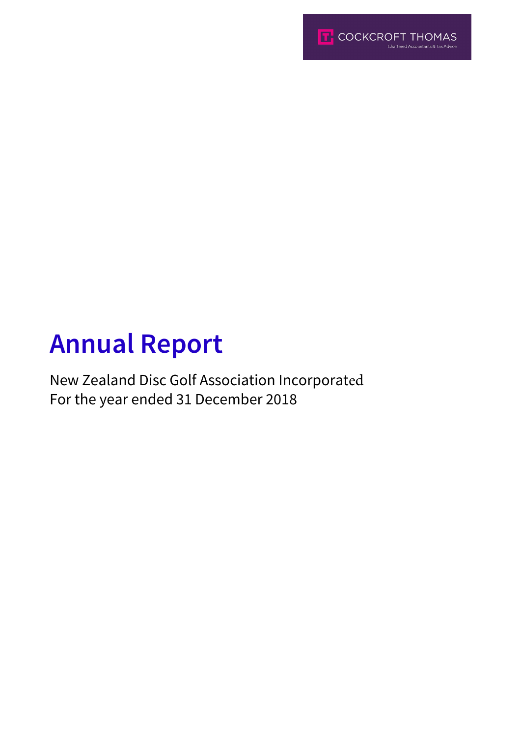

# **Annual Report**

New Zealand Disc Golf Association Incorporated For the year ended 31 December 2018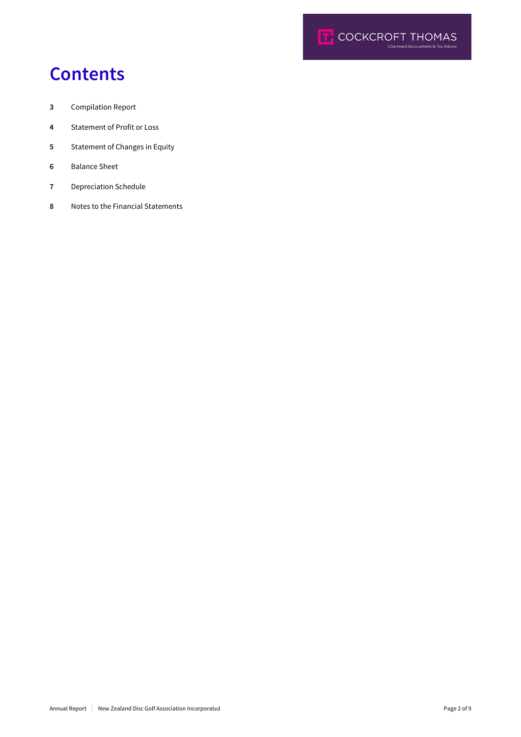

## **Contents**

- Compilation Report
- Statement of Profit or Loss
- Statement of Changes in Equity
- Balance Sheet
- Depreciation Schedule
- Notes to the Financial Statements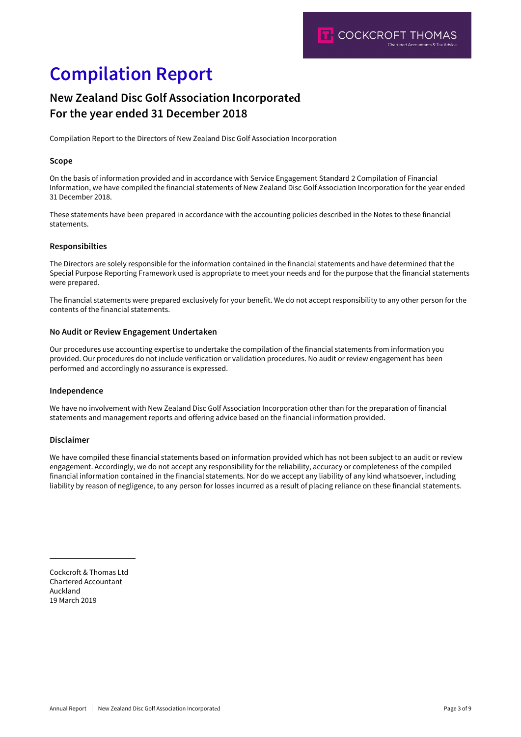## **Compilation Report**

### **New Zealand Disc Golf Association Incorporated For the year ended 31 December 2018**

Compilation Report to the Directors of New Zealand Disc Golf Association Incorporation

### **Scope**

On the basis of information provided and in accordance with Service Engagement Standard 2 Compilation of Financial Information, we have compiled the financial statements of New Zealand Disc Golf Association Incorporation for the year ended 31 December 2018.

These statements have been prepared in accordance with the accounting policies described in the Notes to these financial statements.

#### **Responsibilties**

The Directors are solely responsible for the information contained in the financial statements and have determined that the Special Purpose Reporting Framework used is appropriate to meet your needs and for the purpose that the financial statements were prepared.

The financial statements were prepared exclusively for your benefit. We do not accept responsibility to any other person for the contents of the financial statements.

#### **No Audit or Review Engagement Undertaken**

Our procedures use accounting expertise to undertake the compilation of the financial statements from information you provided. Our procedures do not include verification or validation procedures. No audit or review engagement has been performed and accordingly no assurance is expressed.

### **Independence**

We have no involvement with New Zealand Disc Golf Association Incorporation other than for the preparation of financial statements and management reports and offering advice based on the financial information provided.

### **Disclaimer**

We have compiled these financial statements based on information provided which has not been subject to an audit or review engagement. Accordingly, we do not accept any responsibility for the reliability, accuracy or completeness of the compiled financial information contained in the financial statements. Nor do we accept any liability of any kind whatsoever, including liability by reason of negligence, to any person for losses incurred as a result of placing reliance on these financial statements.

Cockcroft & Thomas Ltd Chartered Accountant Auckland 19 March 2019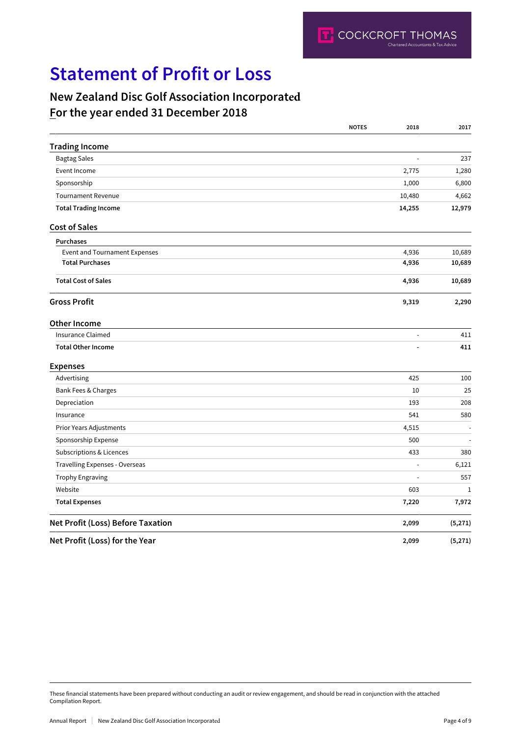## **Statement of Profit or Loss**

### **New Zealand Disc Golf Association Incorporated For the year ended 31 December 2018**

|                                      | <b>NOTES</b> | 2018           | 2017         |
|--------------------------------------|--------------|----------------|--------------|
| <b>Trading Income</b>                |              |                |              |
| <b>Bagtag Sales</b>                  |              | ÷,             | 237          |
| Event Income                         |              | 2,775          | 1,280        |
| Sponsorship                          |              | 1,000          | 6,800        |
| <b>Tournament Revenue</b>            |              | 10,480         | 4,662        |
| <b>Total Trading Income</b>          |              | 14,255         | 12,979       |
| <b>Cost of Sales</b>                 |              |                |              |
| Purchases                            |              |                |              |
| <b>Event and Tournament Expenses</b> |              | 4,936          | 10,689       |
| <b>Total Purchases</b>               |              | 4,936          | 10,689       |
| <b>Total Cost of Sales</b>           |              | 4,936          | 10,689       |
| <b>Gross Profit</b>                  |              | 9,319          | 2,290        |
| <b>Other Income</b>                  |              |                |              |
| <b>Insurance Claimed</b>             |              | ÷,             | 411          |
| <b>Total Other Income</b>            |              |                | 411          |
| <b>Expenses</b>                      |              |                |              |
| Advertising                          |              | 425            | 100          |
| Bank Fees & Charges                  |              | 10             | 25           |
| Depreciation                         |              | 193            | 208          |
| Insurance                            |              | 541            | 580          |
| Prior Years Adjustments              |              | 4,515          |              |
| Sponsorship Expense                  |              | 500            |              |
| Subscriptions & Licences             |              | 433            | 380          |
| Travelling Expenses - Overseas       |              | $\overline{a}$ | 6,121        |
| <b>Trophy Engraving</b>              |              | $\overline{a}$ | 557          |
| Website                              |              | 603            | $\mathbf{1}$ |
| <b>Total Expenses</b>                |              | 7,220          | 7,972        |
| Net Profit (Loss) Before Taxation    |              | 2,099          | (5,271)      |
| Net Profit (Loss) for the Year       |              | 2,099          | (5,271)      |

These financial statements have been prepared without conducting an audit or review engagement, and should be read in conjunction with the attached Compilation Report.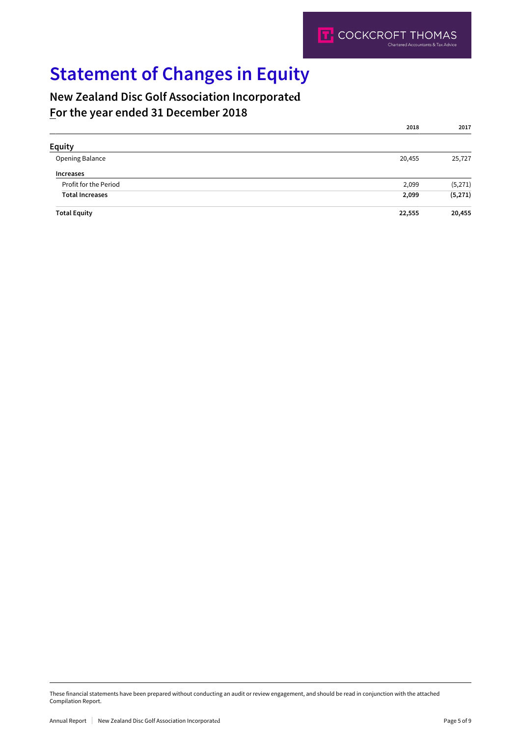## **Statement of Changes in Equity**

### **New Zealand Disc Golf Association Incorporated For the year ended 31 December 2018**

|                        | 2018   | 2017    |
|------------------------|--------|---------|
| <b>Equity</b>          |        |         |
| Opening Balance        | 20,455 | 25,727  |
| <b>Increases</b>       |        |         |
| Profit for the Period  | 2,099  | (5,271) |
| <b>Total Increases</b> | 2,099  | (5,271) |
| <b>Total Equity</b>    | 22,555 | 20,455  |

These financial statements have been prepared without conducting an audit or review engagement, and should be read in conjunction with the attached Compilation Report.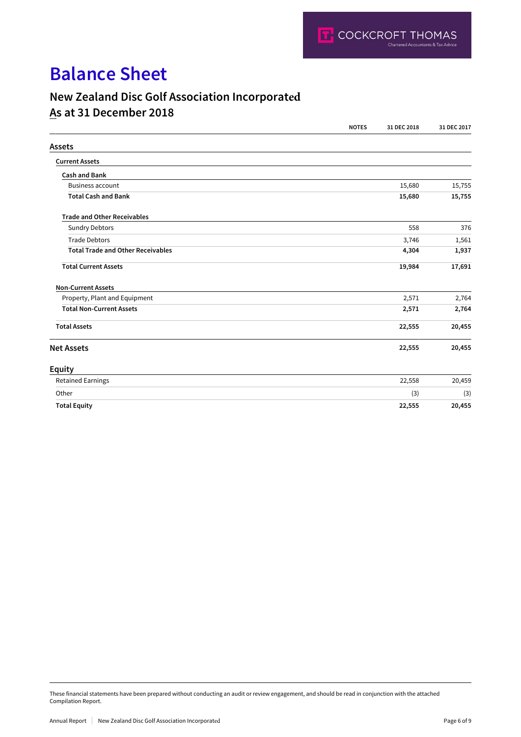## **Balance Sheet**

### **New Zealand Disc Golf Association Incorporated**

### **As at 31 December 2018**

|                                          | <b>NOTES</b> | 31 DEC 2018 | 31 DEC 2017 |
|------------------------------------------|--------------|-------------|-------------|
| <b>Assets</b>                            |              |             |             |
| <b>Current Assets</b>                    |              |             |             |
| <b>Cash and Bank</b>                     |              |             |             |
| <b>Business account</b>                  |              | 15,680      | 15,755      |
| <b>Total Cash and Bank</b>               |              | 15,680      | 15,755      |
| <b>Trade and Other Receivables</b>       |              |             |             |
| <b>Sundry Debtors</b>                    |              | 558         | 376         |
| <b>Trade Debtors</b>                     |              | 3,746       | 1,561       |
| <b>Total Trade and Other Receivables</b> |              | 4,304       | 1,937       |
| <b>Total Current Assets</b>              |              | 19,984      | 17,691      |
| <b>Non-Current Assets</b>                |              |             |             |
| Property, Plant and Equipment            |              | 2,571       | 2,764       |
| <b>Total Non-Current Assets</b>          |              | 2,571       | 2,764       |
| <b>Total Assets</b>                      |              | 22,555      | 20,455      |
| <b>Net Assets</b>                        |              | 22,555      | 20,455      |
| <b>Equity</b>                            |              |             |             |
| <b>Retained Earnings</b>                 |              | 22,558      | 20,459      |
| Other                                    |              | (3)         | (3)         |
| <b>Total Equity</b>                      |              | 22,555      | 20,455      |

These financial statements have been prepared without conducting an audit or review engagement, and should be read in conjunction with the attached Compilation Report.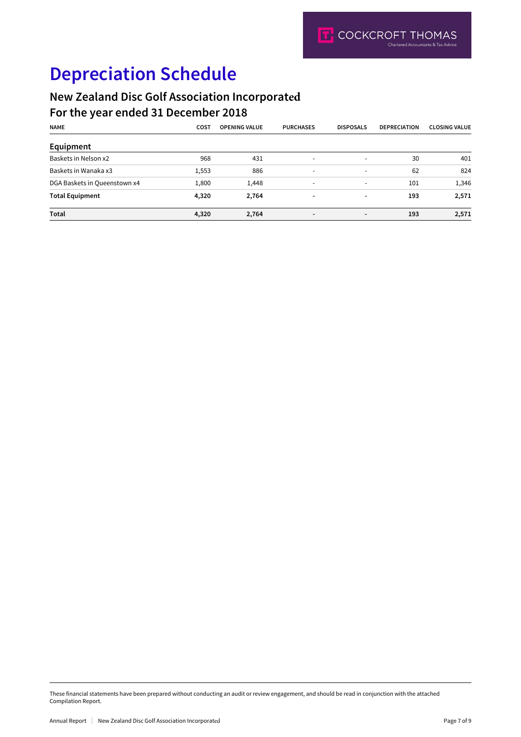## **Depreciation Schedule**

### **New Zealand Disc Golf Association Incorporated**

### **For the year ended 31 December 2018**

| <b>NAME</b>                  | COST  | <b>OPENING VALUE</b> | <b>PURCHASES</b>         | <b>DISPOSALS</b>         | <b>DEPRECIATION</b> | <b>CLOSING VALUE</b> |
|------------------------------|-------|----------------------|--------------------------|--------------------------|---------------------|----------------------|
| Equipment                    |       |                      |                          |                          |                     |                      |
| Baskets in Nelson x2         | 968   | 431                  | $\overline{\phantom{a}}$ | $\overline{\phantom{0}}$ | 30                  | 401                  |
| Baskets in Wanaka x3         | 1,553 | 886                  | $\overline{\phantom{a}}$ | $\overline{\phantom{0}}$ | 62                  | 824                  |
| DGA Baskets in Queenstown x4 | 1,800 | 1,448                | $\overline{\phantom{a}}$ | $\overline{\phantom{a}}$ | 101                 | 1,346                |
| <b>Total Equipment</b>       | 4,320 | 2,764                | $\overline{\phantom{a}}$ | ٠                        | 193                 | 2,571                |
| Total                        | 4,320 | 2,764                | $\overline{\phantom{a}}$ | $\blacksquare$           | 193                 | 2,571                |

These financial statements have been prepared without conducting an audit or review engagement, and should be read in conjunction with the attached Compilation Report.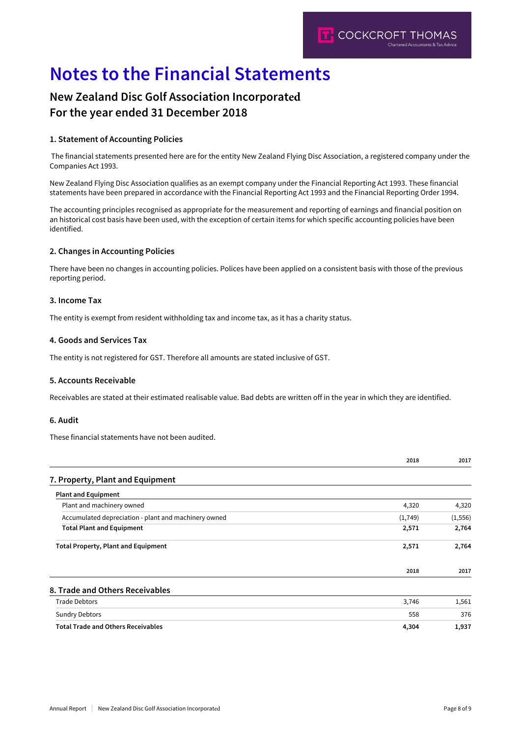## **Notes to the Financial Statements**

### **New Zealand Disc Golf Association Incorporated For the year ended 31 December 2018**

### **1. Statement of Accounting Policies**

 The financial statements presented here are for the entity New Zealand Flying Disc Association, a registered company under the Companies Act 1993.

New Zealand Flying Disc Association qualifies as an exempt company under the Financial Reporting Act 1993. These financial statements have been prepared in accordance with the Financial Reporting Act 1993 and the Financial Reporting Order 1994.

The accounting principles recognised as appropriate for the measurement and reporting of earnings and financial position on an historical cost basis have been used, with the exception of certain items for which specific accounting policies have been identified.

### **2. Changes in Accounting Policies**

There have been no changes in accounting policies. Polices have been applied on a consistent basis with those of the previous reporting period.

### **3. Income Tax**

The entity is exempt from resident withholding tax and income tax, as it has a charity status.

### **4. Goods and Services Tax**

The entity is not registered for GST. Therefore all amounts are stated inclusive of GST.

#### **5. Accounts Receivable**

Receivables are stated at their estimated realisable value. Bad debts are written off in the year in which they are identified.

#### **6. Audit**

These financial statements have not been audited.

|                                                      | 2018    | 2017     |
|------------------------------------------------------|---------|----------|
| 7. Property, Plant and Equipment                     |         |          |
| <b>Plant and Equipment</b>                           |         |          |
| Plant and machinery owned                            | 4,320   | 4,320    |
| Accumulated depreciation - plant and machinery owned | (1,749) | (1, 556) |
| <b>Total Plant and Equipment</b>                     | 2,571   | 2,764    |
| <b>Total Property, Plant and Equipment</b>           | 2,571   | 2,764    |
|                                                      | 2018    | 2017     |
| 8. Trade and Others Receivables                      |         |          |
| <b>Trade Debtors</b>                                 | 3,746   | 1,561    |
| <b>Sundry Debtors</b>                                | 558     | 376      |
| <b>Total Trade and Others Receivables</b>            | 4,304   | 1,937    |